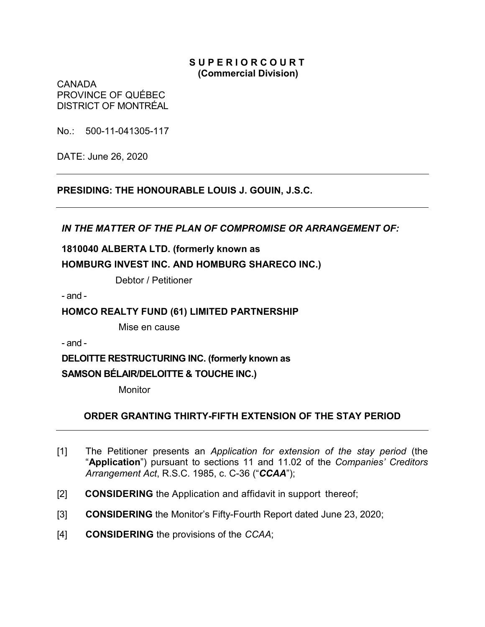#### **S U P E R I O R C O U R T (Commercial Division)**

CANADA PROVINCE OF QUÉBEC DISTRICT OF MONTRÉAL

No.: 500-11-041305-117

DATE: June 26, 2020

# **PRESIDING: THE HONOURABLE LOUIS J. GOUIN, J.S.C.**

*IN THE MATTER OF THE PLAN OF COMPROMISE OR ARRANGEMENT OF:*

# **1810040 ALBERTA LTD. (formerly known as HOMBURG INVEST INC. AND HOMBURG SHARECO INC.)**

Debtor / Petitioner

- and -

### **HOMCO REALTY FUND (61) LIMITED PARTNERSHIP**

Mise en cause

- and -

**DELOITTE RESTRUCTURING INC. (formerly known as** 

#### **SAMSON BÉLAIR/DELOITTE & TOUCHE INC.)**

**Monitor** 

# **ORDER GRANTING THIRTY-FIFTH EXTENSION OF THE STAY PERIOD**

- [1] The Petitioner presents an *Application for extension of the stay period* (the "**Application**") pursuant to sections 11 and 11.02 of the *Companies' Creditors Arrangement Act*, R.S.C. 1985, c. C-36 ("*CCAA*");
- [2] **CONSIDERING** the Application and affidavit in support thereof;
- [3] **CONSIDERING** the Monitor's Fifty-Fourth Report dated June 23, 2020;
- [4] **CONSIDERING** the provisions of the *CCAA*;